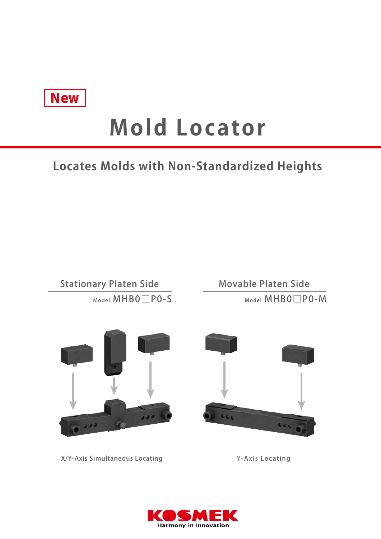

# **Mold Locator**

## **Locates Molds with Non-Standardized Heights**

Model MHB0□P0-S Stationary Platen Side

Model MHB0□P0-M Movable Platen Side



LLL

X/Y-Axis Simultaneous Locating

Y-Axis Locating

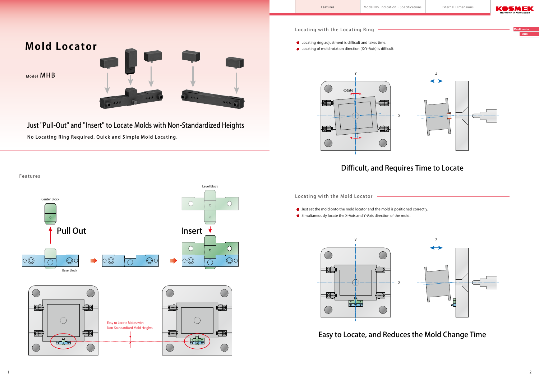**Mold Locator MHB**







Just "Pull-Out" and "Insert" to Locate Molds with Non-Standardized Heights

- Locating ring adjustment is difficult and takes time.
- Locating of mold rotation direction (X/Y-Axis) is difficult.

No Locating Ring Required. Quick and Simple Mold Locating.

Locating with the Mold Locator

Locating with the Locating Ring





- Just set the mold onto the mold locator and the mold is positioned correctly.
- Simultaneously locate the X-Axis and Y-Axis direction of the mold.





## Difficult, and Requires Time to Locate

Easy to Locate, and Reduces the Mold Change Time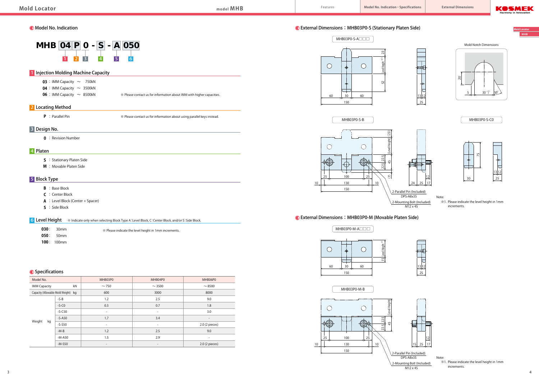**Mold Locator MHB**



- **050** : 50mm
- **100** : 100mm

## **O** Specifications

Note:

※1. Please indicate the level height in 1mm

increments.

 ※1. Please indicate the level height in 1mm increments.

## External Dimensions:MHB03P0-S (Stationary Platen Side)

| Model No.                           |          | MHB03P0                  | MHB04P0                  | MHB06P0                  |
|-------------------------------------|----------|--------------------------|--------------------------|--------------------------|
| <b>IMM Capacity</b>                 | kN       | $\sim$ 750               | $\sim$ 3500              | $\sim$ 8500              |
| Capacity (Allowable Mold Weight) kg |          | 600                      | 3000                     | 8000                     |
| Weight<br>kg                        | $-S-B$   | 1.2                      | 2.5                      | 9.0                      |
|                                     | $-S-C0$  | 0.3                      | 0.7                      | 1.8                      |
|                                     | $-S-C50$ | $\overline{\phantom{a}}$ | $\overline{\phantom{a}}$ | 3.0                      |
|                                     | $-S-ASO$ | 1.7                      | 3.4                      | $\overline{\phantom{a}}$ |
|                                     | $-S-S50$ | $\overline{\phantom{a}}$ | $\overline{\phantom{a}}$ | 2.0 (2 pieces)           |
|                                     | $-M-B$   | 1.2                      | 2.5                      | 9.0                      |
|                                     | $-M-A50$ | 1.5                      | 2.9                      | $\overline{\phantom{a}}$ |
|                                     | $-M-S50$ |                          |                          | $2.0$ (2 pieces)         |



## External Dimensions:MHB03P0-M (Movable Platen Side)





75













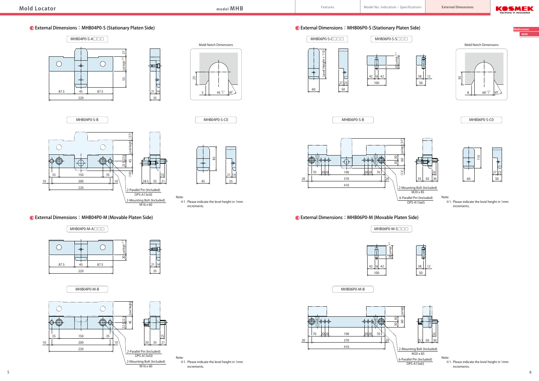**Mold Locator MHB**

## External Dimensions:MHB06P0-S (Stationary Platen Side)



External Dimensions:MHB06P0-M (Movable Platen Side)

MHB06P0-M-B



60 110 27.23 50

Note:







114ع 35

 $\overline{\mathcal{L}}$ 

## External Dimensions:MHB04P0-S (Stationary Platen Side)



### External Dimensions:MHB04P0-M (Movable Platen Side)

MHB04P0-M-A□□□











MHB06P0-M-S□□□









2-Mounting Bolt (Included)  $\frac{6}{1}$ M20 x 85 6-Parallel Pin (Included) DPS-A13x65





MHB06P0-S-B



Note: ※1. Please indicate the level height in 1mm increments.





 ※1. Please indicate the level height in 1mm increments.

Note: ※1. Please indicate the level height in 1mm increments.